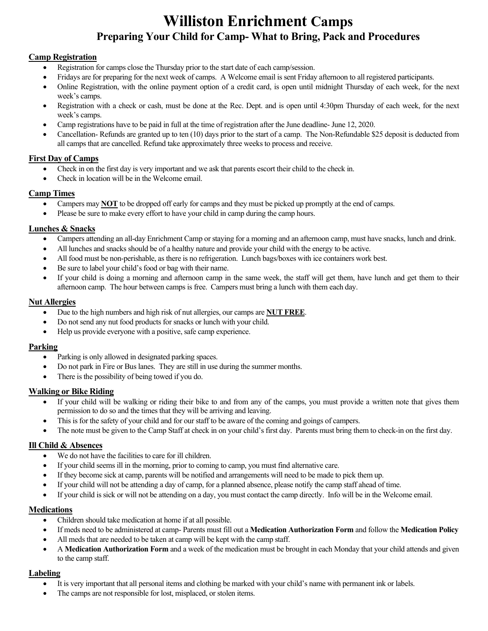# **Williston Enrichment Camps Preparing Your Child for Camp- What to Bring, Pack and Procedures**

# **Camp Registration**

- Registration for camps close the Thursday prior to the start date of each camp/session.
- Fridays are for preparing for the next week of camps. A Welcome email is sent Friday afternoon to all registered participants.
- Online Registration, with the online payment option of a credit card, is open until midnight Thursday of each week, for the next week's camps.
- Registration with a check or cash, must be done at the Rec. Dept. and is open until 4:30pm Thursday of each week, for the next week's camps.
- Camp registrations have to be paid in full at the time of registration after the June deadline- June 12, 2020.
- Cancellation- Refunds are granted up to ten (10) days prior to the start of a camp. The Non-Refundable \$25 deposit is deducted from all camps that are cancelled. Refund take approximately three weeks to process and receive.

# **First Day of Camps**

- Check in on the first day is very important and we ask that parents escort their child to the check in.
- Check in location will be in the Welcome email.

# **Camp Times**

- Campers may **NOT** to be dropped off early for camps and they must be picked up promptly at the end of camps.
- Please be sure to make every effort to have your child in camp during the camp hours.

## **Lunches & Snacks**

- Campers attending an all-day Enrichment Camp or staying for a morning and an afternoon camp, must have snacks, lunch and drink.
- All lunches and snacks should be of a healthy nature and provide your child with the energy to be active.
- All food must be non-perishable, as there is no refrigeration. Lunch bags/boxes with ice containers work best.
- Be sure to label your child's food or bag with their name.
- If your child is doing a morning and afternoon camp in the same week, the staff will get them, have lunch and get them to their afternoon camp. The hour between camps is free. Campers must bring a lunch with them each day.

#### **Nut Allergies**

- Due to the high numbers and high risk of nut allergies, our camps are **NUT FREE**.
- Do not send any nut food products for snacks or lunch with your child.
- Help us provide everyone with a positive, safe camp experience.

#### **Parking**

- Parking is only allowed in designated parking spaces.
- Do not park in Fire or Bus lanes. They are still in use during the summer months.
- There is the possibility of being towed if you do.

#### **Walking or Bike Riding**

- If your child will be walking or riding their bike to and from any of the camps, you must provide a written note that gives them permission to do so and the times that they will be arriving and leaving.
- This is for the safety of your child and for our staff to be aware of the coming and goings of campers.
- The note must be given to the Camp Staff at check in on your child's first day. Parents must bring them to check-in on the first day.

#### **Ill Child & Absences**

- We do not have the facilities to care for ill children.
- If your child seems ill in the morning, prior to coming to camp, you must find alternative care.
- If they become sick at camp, parents will be notified and arrangements will need to be made to pick them up.
- If your child will not be attending a day of camp, for a planned absence, please notify the camp staff ahead of time.
- If your child is sick or will not be attending on a day, you must contact the camp directly. Info will be in the Welcome email.

#### **Medications**

- Children should take medication at home if at all possible.
- If meds need to be administered at camp- Parents must fill out a **Medication Authorization Form** and follow the **Medication Policy**
- All meds that are needed to be taken at camp will be kept with the camp staff.
- A **Medication Authorization Form** and a week of the medication must be brought in each Monday that your child attends and given to the camp staff.

#### **Labeling**

- It is very important that all personal items and clothing be marked with your child's name with permanent ink or labels.
- The camps are not responsible for lost, misplaced, or stolen items.